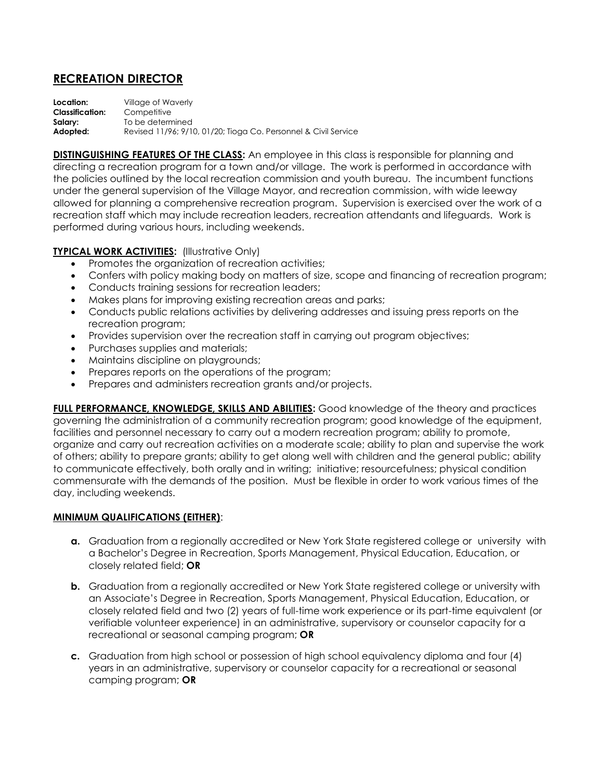## **RECREATION DIRECTOR**

**Location:** Village of Waverly **Classification:** Competitive **Salary:** To be determined **Adopted:** Revised 11/96; 9/10, 01/20; Tioga Co. Personnel & Civil Service

**DISTINGUISHING FEATURES OF THE CLASS:** An employee in this class is responsible for planning and directing a recreation program for a town and/or village. The work is performed in accordance with the policies outlined by the local recreation commission and youth bureau. The incumbent functions under the general supervision of the Village Mayor, and recreation commission, with wide leeway allowed for planning a comprehensive recreation program. Supervision is exercised over the work of a recreation staff which may include recreation leaders, recreation attendants and lifeguards. Work is performed during various hours, including weekends.

## **TYPICAL WORK ACTIVITIES: (Illustrative Only)**

- Promotes the organization of recreation activities;
- Confers with policy making body on matters of size, scope and financing of recreation program;
- Conducts training sessions for recreation leaders;
- Makes plans for improving existing recreation areas and parks;
- Conducts public relations activities by delivering addresses and issuing press reports on the recreation program;
- Provides supervision over the recreation staff in carrying out program objectives;
- Purchases supplies and materials:
- Maintains discipline on playgrounds;
- Prepares reports on the operations of the program;
- Prepares and administers recreation grants and/or projects.

**FULL PERFORMANCE, KNOWLEDGE, SKILLS AND ABILITIES:** Good knowledge of the theory and practices governing the administration of a community recreation program; good knowledge of the equipment, facilities and personnel necessary to carry out a modern recreation program; ability to promote, organize and carry out recreation activities on a moderate scale; ability to plan and supervise the work of others; ability to prepare grants; ability to get along well with children and the general public; ability to communicate effectively, both orally and in writing; initiative; resourcefulness; physical condition commensurate with the demands of the position. Must be flexible in order to work various times of the day, including weekends.

## **MINIMUM QUALIFICATIONS (EITHER)**:

- **a.** Graduation from a regionally accredited or New York State registered college or university with a Bachelor's Degree in Recreation, Sports Management, Physical Education, Education, or closely related field; **OR**
- **b.** Graduation from a regionally accredited or New York State registered college or university with an Associate's Degree in Recreation, Sports Management, Physical Education, Education, or closely related field and two (2) years of full-time work experience or its part-time equivalent (or verifiable volunteer experience) in an administrative, supervisory or counselor capacity for a recreational or seasonal camping program; **OR**
- **c.** Graduation from high school or possession of high school equivalency diploma and four (4) years in an administrative, supervisory or counselor capacity for a recreational or seasonal camping program; **OR**